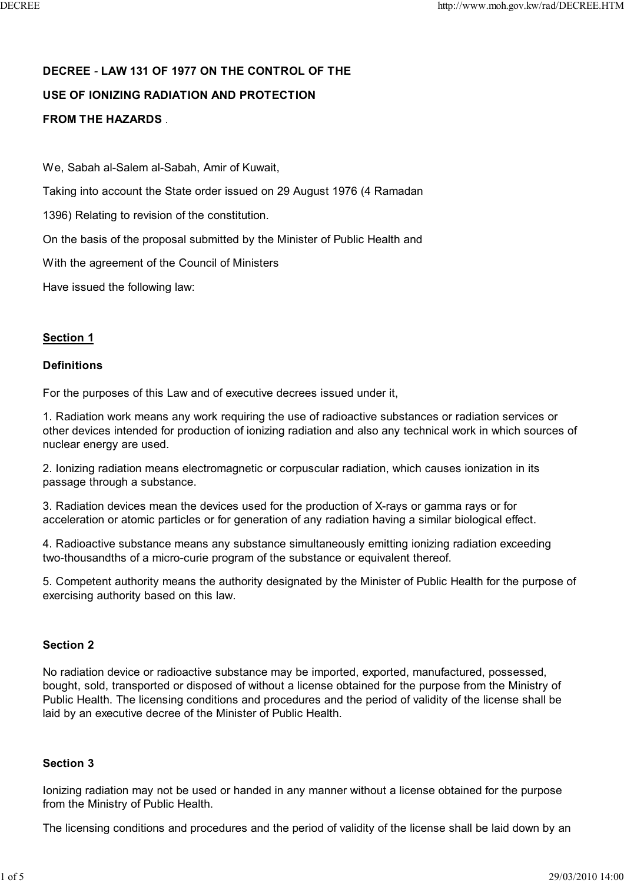# **DECREE** *-* **LAW 131 OF 1977 ON THE CONTROL OF THE USE OF IONIZING RADIATION AND PROTECTION FROM THE HAZARDS** .

We, Sabah al-Salem al-Sabah, Amir of Kuwait,

Taking into account the State order issued on 29 August 1976 (4 Ramadan

1396) Relating to revision of the constitution.

On the basis of the proposal submitted by the Minister of Public Health and

With the agreement of the Council of Ministers

Have issued the following law:

# **Section 1**

#### **Definitions**

For the purposes of this Law and of executive decrees issued under it,

1. Radiation work means any work requiring the use of radioactive substances or radiation services or other devices intended for production of ionizing radiation and also any technical work in which sources of nuclear energy are used.

2. Ionizing radiation means electromagnetic or corpuscular radiation, which causes ionization in its passage through a substance.

3. Radiation devices mean the devices used for the production of X-rays or gamma rays or for acceleration or atomic particles or for generation of any radiation having a similar biological effect.

4. Radioactive substance means any substance simultaneously emitting ionizing radiation exceeding two-thousandths of a micro-curie program of the substance or equivalent thereof.

5. Competent authority means the authority designated by the Minister of Public Health for the purpose of exercising authority based on this law.

# **Section 2**

No radiation device or radioactive substance may be imported, exported, manufactured, possessed, bought, sold, transported or disposed of without a license obtained for the purpose from the Ministry of Public Health. The licensing conditions and procedures and the period of validity of the license shall be laid by an executive decree of the Minister of Public Health.

# **Section 3**

Ionizing radiation may not be used or handed in any manner without a license obtained for the purpose from the Ministry of Public Health.

The licensing conditions and procedures and the period of validity of the license shall be laid down by an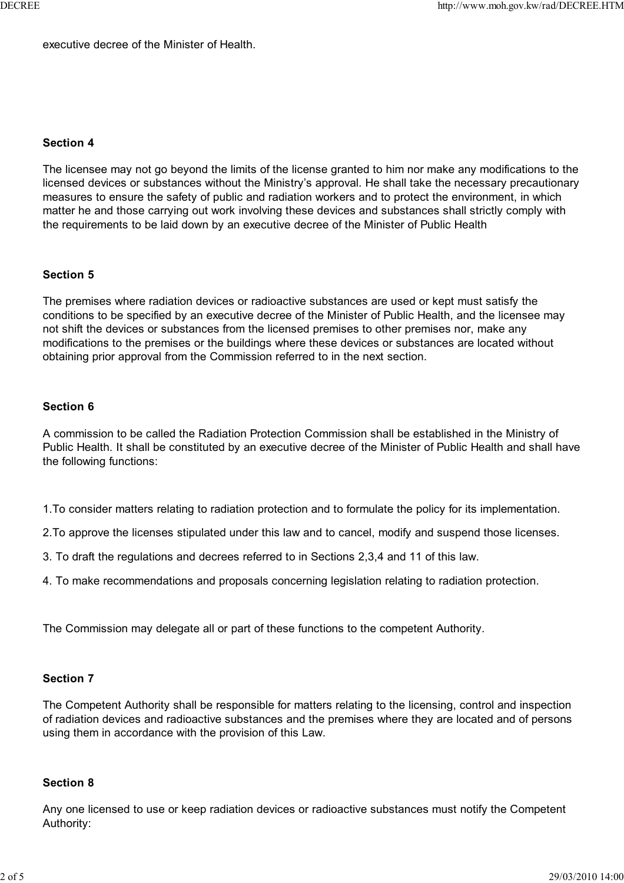executive decree of the Minister of Health.

#### **Section 4**

The licensee may not go beyond the limits of the license granted to him nor make any modifications to the licensed devices or substances without the Ministry's approval. He shall take the necessary precautionary measures to ensure the safety of public and radiation workers and to protect the environment, in which matter he and those carrying out work involving these devices and substances shall strictly comply with the requirements to be laid down by an executive decree of the Minister of Public Health

#### **Section 5**

The premises where radiation devices or radioactive substances are used or kept must satisfy the conditions to be specified by an executive decree of the Minister of Public Health, and the licensee may not shift the devices or substances from the licensed premises to other premises nor, make any modifications to the premises or the buildings where these devices or substances are located without obtaining prior approval from the Commission referred to in the next section.

# **Section 6**

A commission to be called the Radiation Protection Commission shall be established in the Ministry of Public Health. It shall be constituted by an executive decree of the Minister of Public Health and shall have the following functions:

- 1.To consider matters relating to radiation protection and to formulate the policy for its implementation.
- 2.To approve the licenses stipulated under this law and to cancel, modify and suspend those licenses.
- 3. To draft the regulations and decrees referred to in Sections 2,3,4 and 11 of this law.
- 4. To make recommendations and proposals concerning legislation relating to radiation protection.

The Commission may delegate all or part of these functions to the competent Authority.

#### **Section 7**

The Competent Authority shall be responsible for matters relating to the licensing, control and inspection of radiation devices and radioactive substances and the premises where they are located and of persons using them in accordance with the provision of this Law.

#### **Section 8**

Any one licensed to use or keep radiation devices or radioactive substances must notify the Competent Authority: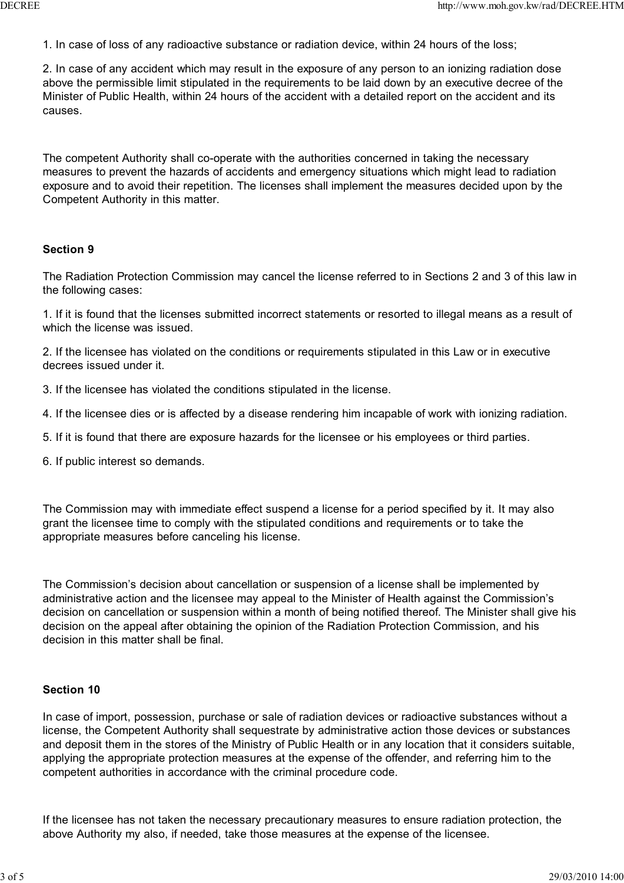1. In case of loss of any radioactive substance or radiation device, within 24 hours of the loss;

2. In case of any accident which may result in the exposure of any person to an ionizing radiation dose above the permissible limit stipulated in the requirements to be laid down by an executive decree of the Minister of Public Health, within 24 hours of the accident with a detailed report on the accident and its causes.

The competent Authority shall co-operate with the authorities concerned in taking the necessary measures to prevent the hazards of accidents and emergency situations which might lead to radiation exposure and to avoid their repetition. The licenses shall implement the measures decided upon by the Competent Authority in this matter.

#### **Section 9**

The Radiation Protection Commission may cancel the license referred to in Sections 2 and 3 of this law in the following cases:

1. If it is found that the licenses submitted incorrect statements or resorted to illegal means as a result of which the license was issued.

2. If the licensee has violated on the conditions or requirements stipulated in this Law or in executive decrees issued under it.

- 3. If the licensee has violated the conditions stipulated in the license.
- 4. If the licensee dies or is affected by a disease rendering him incapable of work with ionizing radiation.
- 5. If it is found that there are exposure hazards for the licensee or his employees or third parties.
- 6. If public interest so demands.

The Commission may with immediate effect suspend a license for a period specified by it. It may also grant the licensee time to comply with the stipulated conditions and requirements or to take the appropriate measures before canceling his license.

The Commission's decision about cancellation or suspension of a license shall be implemented by administrative action and the licensee may appeal to the Minister of Health against the Commission's decision on cancellation or suspension within a month of being notified thereof. The Minister shall give his decision on the appeal after obtaining the opinion of the Radiation Protection Commission, and his decision in this matter shall be final.

#### **Section 10**

In case of import, possession, purchase or sale of radiation devices or radioactive substances without a license, the Competent Authority shall sequestrate by administrative action those devices or substances and deposit them in the stores of the Ministry of Public Health or in any location that it considers suitable, applying the appropriate protection measures at the expense of the offender, and referring him to the competent authorities in accordance with the criminal procedure code.

If the licensee has not taken the necessary precautionary measures to ensure radiation protection, the above Authority my also, if needed, take those measures at the expense of the licensee.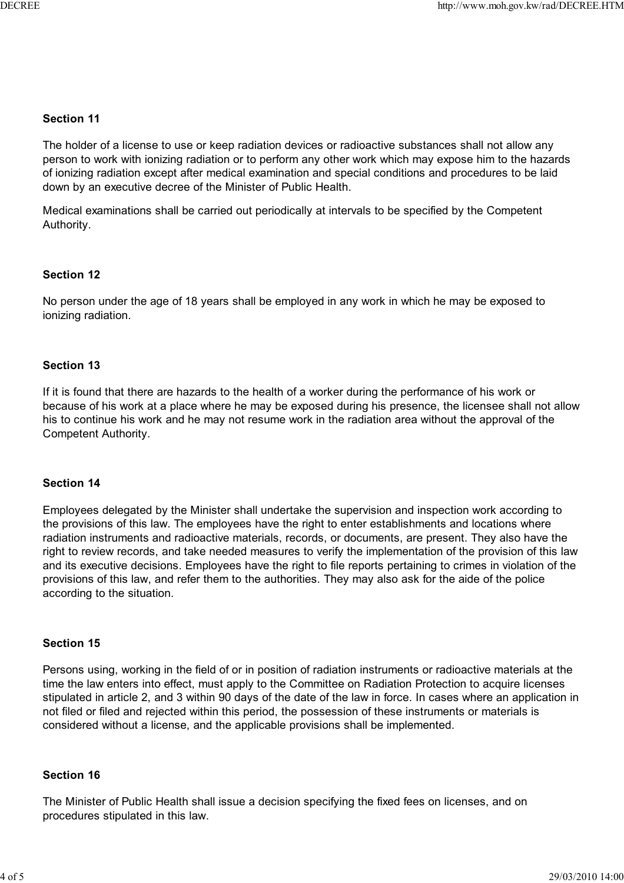# **Section 11**

The holder of a license to use or keep radiation devices or radioactive substances shall not allow any person to work with ionizing radiation or to perform any other work which may expose him to the hazards of ionizing radiation except after medical examination and special conditions and procedures to be laid down by an executive decree of the Minister of Public Health.

Medical examinations shall be carried out periodically at intervals to be specified by the Competent Authority.

# **Section 12**

No person under the age of 18 years shall be employed in any work in which he may be exposed to ionizing radiation.

# **Section 13**

If it is found that there are hazards to the health of a worker during the performance of his work or because of his work at a place where he may be exposed during his presence, the licensee shall not allow his to continue his work and he may not resume work in the radiation area without the approval of the Competent Authority.

# **Section 14**

Employees delegated by the Minister shall undertake the supervision and inspection work according to the provisions of this law. The employees have the right to enter establishments and locations where radiation instruments and radioactive materials, records, or documents, are present. They also have the right to review records, and take needed measures to verify the implementation of the provision of this law and its executive decisions. Employees have the right to file reports pertaining to crimes in violation of the provisions of this law, and refer them to the authorities. They may also ask for the aide of the police according to the situation.

# **Section 15**

Persons using, working in the field of or in position of radiation instruments or radioactive materials at the time the law enters into effect, must apply to the Committee on Radiation Protection to acquire licenses stipulated in article 2, and 3 within 90 days of the date of the law in force. In cases where an application in not filed or filed and rejected within this period, the possession of these instruments or materials is considered without a license, and the applicable provisions shall be implemented.

# **Section 16**

The Minister of Public Health shall issue a decision specifying the fixed fees on licenses, and on procedures stipulated in this law.